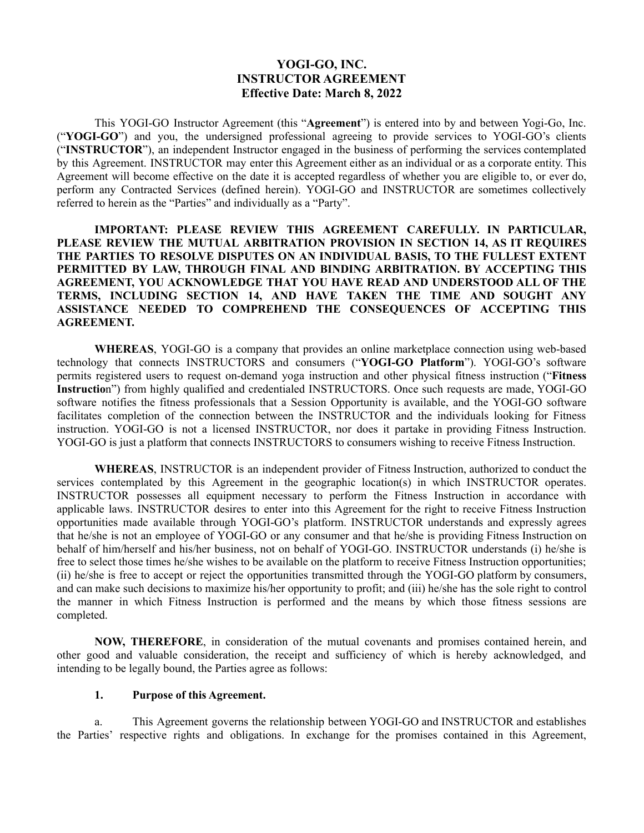# **YOGI-GO, INC. INSTRUCTOR AGREEMENT Effective Date: March 8, 2022**

This YOGI-GO Instructor Agreement (this "**Agreement**") is entered into by and between Yogi-Go, Inc. ("**YOGI-GO**") and you, the undersigned professional agreeing to provide services to YOGI-GO's clients ("**INSTRUCTOR**"), an independent Instructor engaged in the business of performing the services contemplated by this Agreement. INSTRUCTOR may enter this Agreement either as an individual or as a corporate entity. This Agreement will become effective on the date it is accepted regardless of whether you are eligible to, or ever do, perform any Contracted Services (defined herein). YOGI-GO and INSTRUCTOR are sometimes collectively referred to herein as the "Parties" and individually as a "Party".

**IMPORTANT: PLEASE REVIEW THIS AGREEMENT CAREFULLY. IN PARTICULAR, PLEASE REVIEW THE MUTUAL ARBITRATION PROVISION IN SECTION 14, AS IT REQUIRES THE PARTIES TO RESOLVE DISPUTES ON AN INDIVIDUAL BASIS, TO THE FULLEST EXTENT PERMITTED BY LAW, THROUGH FINAL AND BINDING ARBITRATION. BY ACCEPTING THIS AGREEMENT, YOU ACKNOWLEDGE THAT YOU HAVE READ AND UNDERSTOOD ALL OF THE TERMS, INCLUDING SECTION 14, AND HAVE TAKEN THE TIME AND SOUGHT ANY ASSISTANCE NEEDED TO COMPREHEND THE CONSEQUENCES OF ACCEPTING THIS AGREEMENT.**

**WHEREAS**, YOGI-GO is a company that provides an online marketplace connection using web-based technology that connects INSTRUCTORS and consumers ("**YOGI-GO Platform**"). YOGI-GO's software permits registered users to request on-demand yoga instruction and other physical fitness instruction ("**Fitness Instructio**n") from highly qualified and credentialed INSTRUCTORS. Once such requests are made, YOGI-GO software notifies the fitness professionals that a Session Opportunity is available, and the YOGI-GO software facilitates completion of the connection between the INSTRUCTOR and the individuals looking for Fitness instruction. YOGI-GO is not a licensed INSTRUCTOR, nor does it partake in providing Fitness Instruction. YOGI-GO is just a platform that connects INSTRUCTORS to consumers wishing to receive Fitness Instruction.

**WHEREAS**, INSTRUCTOR is an independent provider of Fitness Instruction, authorized to conduct the services contemplated by this Agreement in the geographic location(s) in which INSTRUCTOR operates. INSTRUCTOR possesses all equipment necessary to perform the Fitness Instruction in accordance with applicable laws. INSTRUCTOR desires to enter into this Agreement for the right to receive Fitness Instruction opportunities made available through YOGI-GO's platform. INSTRUCTOR understands and expressly agrees that he/she is not an employee of YOGI-GO or any consumer and that he/she is providing Fitness Instruction on behalf of him/herself and his/her business, not on behalf of YOGI-GO. INSTRUCTOR understands (i) he/she is free to select those times he/she wishes to be available on the platform to receive Fitness Instruction opportunities; (ii) he/she is free to accept or reject the opportunities transmitted through the YOGI-GO platform by consumers, and can make such decisions to maximize his/her opportunity to profit; and (iii) he/she has the sole right to control the manner in which Fitness Instruction is performed and the means by which those fitness sessions are completed.

**NOW, THEREFORE**, in consideration of the mutual covenants and promises contained herein, and other good and valuable consideration, the receipt and sufficiency of which is hereby acknowledged, and intending to be legally bound, the Parties agree as follows:

#### **1. Purpose of this Agreement.**

a. This Agreement governs the relationship between YOGI-GO and INSTRUCTOR and establishes the Parties' respective rights and obligations. In exchange for the promises contained in this Agreement,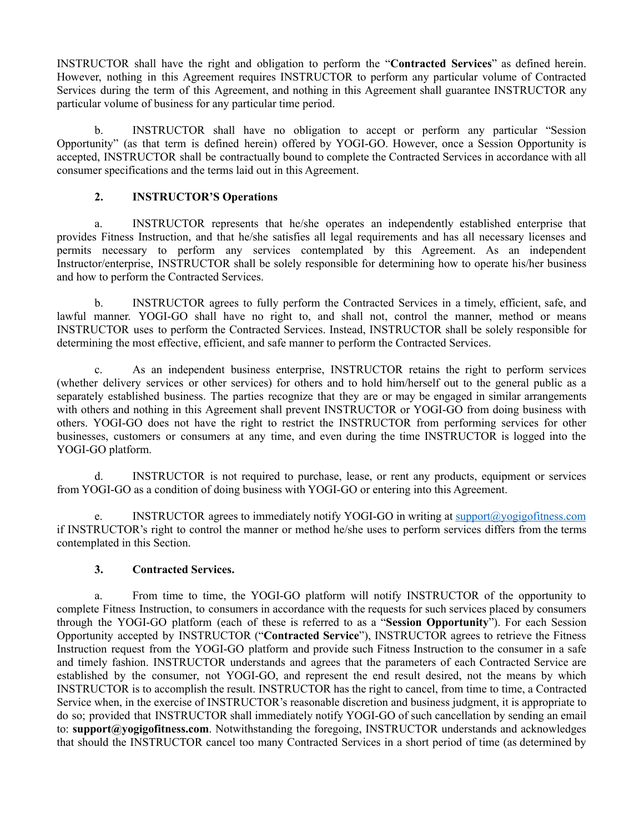INSTRUCTOR shall have the right and obligation to perform the "**Contracted Services**" as defined herein. However, nothing in this Agreement requires INSTRUCTOR to perform any particular volume of Contracted Services during the term of this Agreement, and nothing in this Agreement shall guarantee INSTRUCTOR any particular volume of business for any particular time period.

b. INSTRUCTOR shall have no obligation to accept or perform any particular "Session Opportunity" (as that term is defined herein) offered by YOGI-GO. However, once a Session Opportunity is accepted, INSTRUCTOR shall be contractually bound to complete the Contracted Services in accordance with all consumer specifications and the terms laid out in this Agreement.

# **2. INSTRUCTOR'S Operations**

a. INSTRUCTOR represents that he/she operates an independently established enterprise that provides Fitness Instruction, and that he/she satisfies all legal requirements and has all necessary licenses and permits necessary to perform any services contemplated by this Agreement. As an independent Instructor/enterprise, INSTRUCTOR shall be solely responsible for determining how to operate his/her business and how to perform the Contracted Services.

b. INSTRUCTOR agrees to fully perform the Contracted Services in a timely, efficient, safe, and lawful manner. YOGI-GO shall have no right to, and shall not, control the manner, method or means INSTRUCTOR uses to perform the Contracted Services. Instead, INSTRUCTOR shall be solely responsible for determining the most effective, efficient, and safe manner to perform the Contracted Services.

c. As an independent business enterprise, INSTRUCTOR retains the right to perform services (whether delivery services or other services) for others and to hold him/herself out to the general public as a separately established business. The parties recognize that they are or may be engaged in similar arrangements with others and nothing in this Agreement shall prevent INSTRUCTOR or YOGI-GO from doing business with others. YOGI-GO does not have the right to restrict the INSTRUCTOR from performing services for other businesses, customers or consumers at any time, and even during the time INSTRUCTOR is logged into the YOGI-GO platform.

d. INSTRUCTOR is not required to purchase, lease, or rent any products, equipment or services from YOGI-GO as a condition of doing business with YOGI-GO or entering into this Agreement.

e. INSTRUCTOR agrees to immediately notify YOGI-GO in writing at support $\omega$  yogigofitness.com if INSTRUCTOR's right to control the manner or method he/she uses to perform services differs from the terms contemplated in this Section.

## **3. Contracted Services.**

a. From time to time, the YOGI-GO platform will notify INSTRUCTOR of the opportunity to complete Fitness Instruction, to consumers in accordance with the requests for such services placed by consumers through the YOGI-GO platform (each of these is referred to as a "**Session Opportunity**"). For each Session Opportunity accepted by INSTRUCTOR ("**Contracted Service**"), INSTRUCTOR agrees to retrieve the Fitness Instruction request from the YOGI-GO platform and provide such Fitness Instruction to the consumer in a safe and timely fashion. INSTRUCTOR understands and agrees that the parameters of each Contracted Service are established by the consumer, not YOGI-GO, and represent the end result desired, not the means by which INSTRUCTOR is to accomplish the result. INSTRUCTOR has the right to cancel, from time to time, a Contracted Service when, in the exercise of INSTRUCTOR's reasonable discretion and business judgment, it is appropriate to do so; provided that INSTRUCTOR shall immediately notify YOGI-GO of such cancellation by sending an email to: **support@yogigofitness.com**. Notwithstanding the foregoing, INSTRUCTOR understands and acknowledges that should the INSTRUCTOR cancel too many Contracted Services in a short period of time (as determined by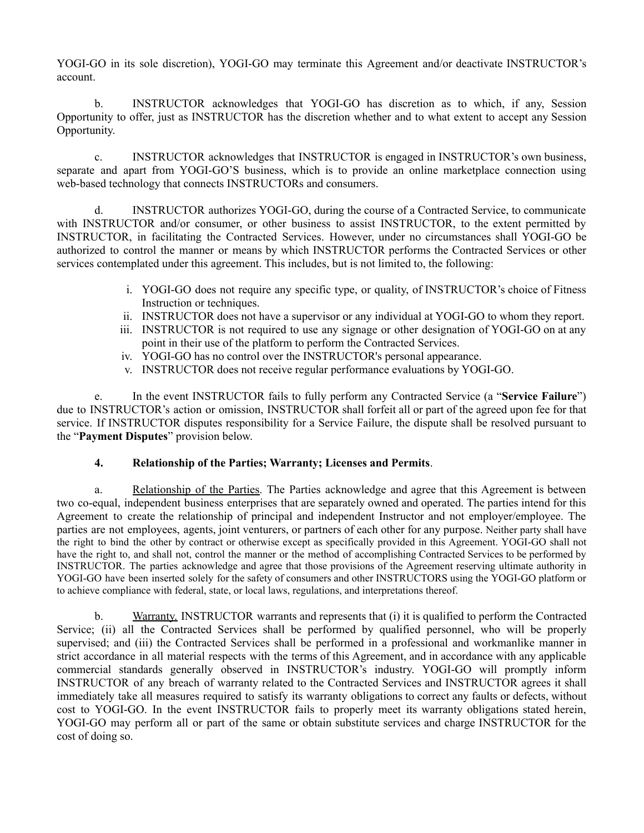YOGI-GO in its sole discretion), YOGI-GO may terminate this Agreement and/or deactivate INSTRUCTOR's account.

b. INSTRUCTOR acknowledges that YOGI-GO has discretion as to which, if any, Session Opportunity to offer, just as INSTRUCTOR has the discretion whether and to what extent to accept any Session Opportunity.

c. INSTRUCTOR acknowledges that INSTRUCTOR is engaged in INSTRUCTOR's own business, separate and apart from YOGI-GO'S business, which is to provide an online marketplace connection using web-based technology that connects INSTRUCTORs and consumers.

d. INSTRUCTOR authorizes YOGI-GO, during the course of a Contracted Service, to communicate with INSTRUCTOR and/or consumer, or other business to assist INSTRUCTOR, to the extent permitted by INSTRUCTOR, in facilitating the Contracted Services. However, under no circumstances shall YOGI-GO be authorized to control the manner or means by which INSTRUCTOR performs the Contracted Services or other services contemplated under this agreement. This includes, but is not limited to, the following:

- i. YOGI-GO does not require any specific type, or quality, of INSTRUCTOR's choice of Fitness Instruction or techniques.
- ii. INSTRUCTOR does not have a supervisor or any individual at YOGI-GO to whom they report.
- iii. INSTRUCTOR is not required to use any signage or other designation of YOGI-GO on at any point in their use of the platform to perform the Contracted Services.
- iv. YOGI-GO has no control over the INSTRUCTOR's personal appearance.
- v. INSTRUCTOR does not receive regular performance evaluations by YOGI-GO.

e. In the event INSTRUCTOR fails to fully perform any Contracted Service (a "**Service Failure**") due to INSTRUCTOR's action or omission, INSTRUCTOR shall forfeit all or part of the agreed upon fee for that service. If INSTRUCTOR disputes responsibility for a Service Failure, the dispute shall be resolved pursuant to the "**Payment Disputes**" provision below.

### **4. Relationship of the Parties; Warranty; Licenses and Permits**.

a. Relationship of the Parties. The Parties acknowledge and agree that this Agreement is between two co-equal, independent business enterprises that are separately owned and operated. The parties intend for this Agreement to create the relationship of principal and independent Instructor and not employer/employee. The parties are not employees, agents, joint venturers, or partners of each other for any purpose. Neither party shall have the right to bind the other by contract or otherwise except as specifically provided in this Agreement. YOGI-GO shall not have the right to, and shall not, control the manner or the method of accomplishing Contracted Services to be performed by INSTRUCTOR. The parties acknowledge and agree that those provisions of the Agreement reserving ultimate authority in YOGI-GO have been inserted solely for the safety of consumers and other INSTRUCTORS using the YOGI-GO platform or to achieve compliance with federal, state, or local laws, regulations, and interpretations thereof.

b. Warranty. INSTRUCTOR warrants and represents that (i) it is qualified to perform the Contracted Service; (ii) all the Contracted Services shall be performed by qualified personnel, who will be properly supervised; and (iii) the Contracted Services shall be performed in a professional and workmanlike manner in strict accordance in all material respects with the terms of this Agreement, and in accordance with any applicable commercial standards generally observed in INSTRUCTOR's industry. YOGI-GO will promptly inform INSTRUCTOR of any breach of warranty related to the Contracted Services and INSTRUCTOR agrees it shall immediately take all measures required to satisfy its warranty obligations to correct any faults or defects, without cost to YOGI-GO. In the event INSTRUCTOR fails to properly meet its warranty obligations stated herein, YOGI-GO may perform all or part of the same or obtain substitute services and charge INSTRUCTOR for the cost of doing so.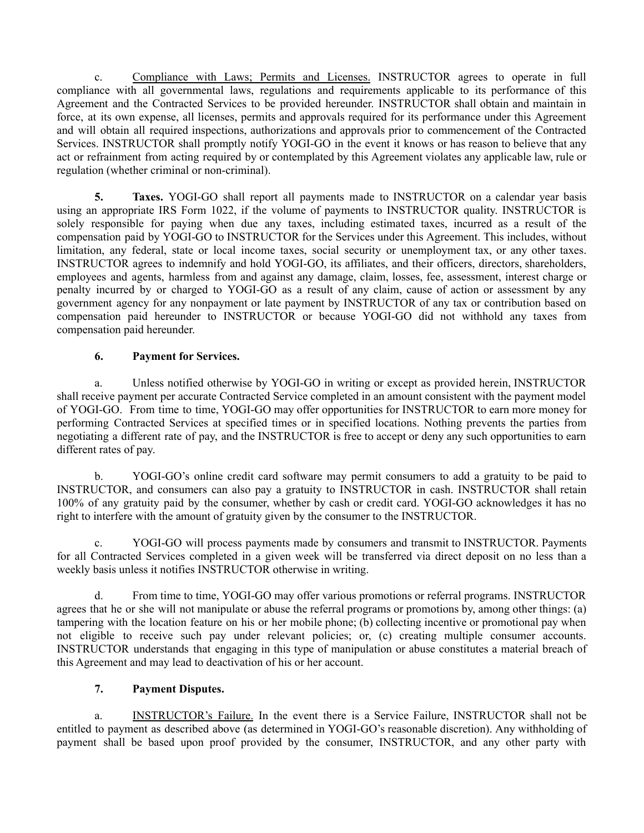c. Compliance with Laws; Permits and Licenses. INSTRUCTOR agrees to operate in full compliance with all governmental laws, regulations and requirements applicable to its performance of this Agreement and the Contracted Services to be provided hereunder. INSTRUCTOR shall obtain and maintain in force, at its own expense, all licenses, permits and approvals required for its performance under this Agreement and will obtain all required inspections, authorizations and approvals prior to commencement of the Contracted Services. INSTRUCTOR shall promptly notify YOGI-GO in the event it knows or has reason to believe that any act or refrainment from acting required by or contemplated by this Agreement violates any applicable law, rule or regulation (whether criminal or non-criminal).

**5. Taxes.** YOGI-GO shall report all payments made to INSTRUCTOR on a calendar year basis using an appropriate IRS Form 1022, if the volume of payments to INSTRUCTOR quality. INSTRUCTOR is solely responsible for paying when due any taxes, including estimated taxes, incurred as a result of the compensation paid by YOGI-GO to INSTRUCTOR for the Services under this Agreement. This includes, without limitation, any federal, state or local income taxes, social security or unemployment tax, or any other taxes. INSTRUCTOR agrees to indemnify and hold YOGI-GO, its affiliates, and their officers, directors, shareholders, employees and agents, harmless from and against any damage, claim, losses, fee, assessment, interest charge or penalty incurred by or charged to YOGI-GO as a result of any claim, cause of action or assessment by any government agency for any nonpayment or late payment by INSTRUCTOR of any tax or contribution based on compensation paid hereunder to INSTRUCTOR or because YOGI-GO did not withhold any taxes from compensation paid hereunder.

## **6. Payment for Services.**

a. Unless notified otherwise by YOGI-GO in writing or except as provided herein, INSTRUCTOR shall receive payment per accurate Contracted Service completed in an amount consistent with the payment model of YOGI-GO. From time to time, YOGI-GO may offer opportunities for INSTRUCTOR to earn more money for performing Contracted Services at specified times or in specified locations. Nothing prevents the parties from negotiating a different rate of pay, and the INSTRUCTOR is free to accept or deny any such opportunities to earn different rates of pay.

b. YOGI-GO's online credit card software may permit consumers to add a gratuity to be paid to INSTRUCTOR, and consumers can also pay a gratuity to INSTRUCTOR in cash. INSTRUCTOR shall retain 100% of any gratuity paid by the consumer, whether by cash or credit card. YOGI-GO acknowledges it has no right to interfere with the amount of gratuity given by the consumer to the INSTRUCTOR.

c. YOGI-GO will process payments made by consumers and transmit to INSTRUCTOR. Payments for all Contracted Services completed in a given week will be transferred via direct deposit on no less than a weekly basis unless it notifies INSTRUCTOR otherwise in writing.

d. From time to time, YOGI-GO may offer various promotions or referral programs. INSTRUCTOR agrees that he or she will not manipulate or abuse the referral programs or promotions by, among other things: (a) tampering with the location feature on his or her mobile phone; (b) collecting incentive or promotional pay when not eligible to receive such pay under relevant policies; or, (c) creating multiple consumer accounts. INSTRUCTOR understands that engaging in this type of manipulation or abuse constitutes a material breach of this Agreement and may lead to deactivation of his or her account.

# **7. Payment Disputes.**

a. INSTRUCTOR's Failure. In the event there is a Service Failure, INSTRUCTOR shall not be entitled to payment as described above (as determined in YOGI-GO's reasonable discretion). Any withholding of payment shall be based upon proof provided by the consumer, INSTRUCTOR, and any other party with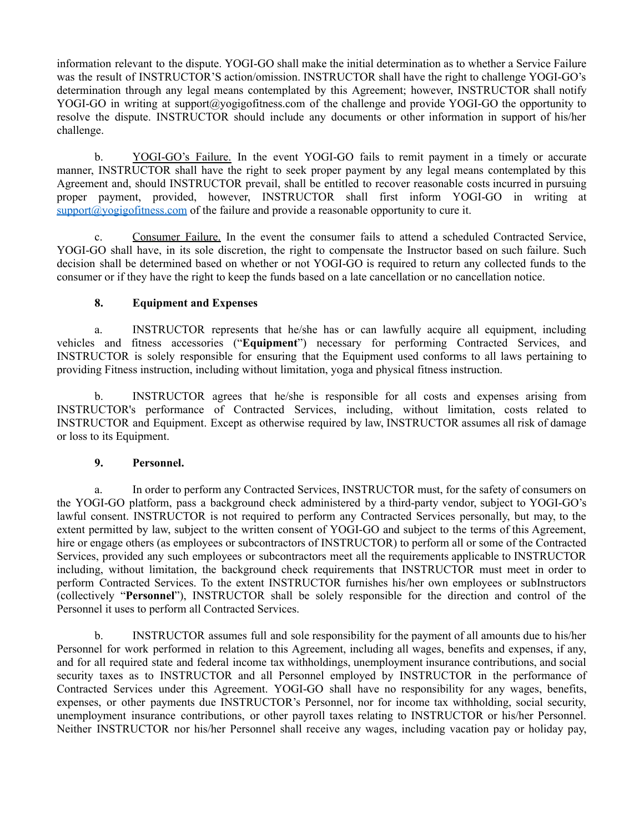information relevant to the dispute. YOGI-GO shall make the initial determination as to whether a Service Failure was the result of INSTRUCTOR'S action/omission. INSTRUCTOR shall have the right to challenge YOGI-GO's determination through any legal means contemplated by this Agreement; however, INSTRUCTOR shall notify YOGI-GO in writing at support@yogigofitness.com of the challenge and provide YOGI-GO the opportunity to resolve the dispute. INSTRUCTOR should include any documents or other information in support of his/her challenge.

b. YOGI-GO's Failure. In the event YOGI-GO fails to remit payment in a timely or accurate manner, INSTRUCTOR shall have the right to seek proper payment by any legal means contemplated by this Agreement and, should INSTRUCTOR prevail, shall be entitled to recover reasonable costs incurred in pursuing proper payment, provided, however, INSTRUCTOR shall first inform YOGI-GO in writing at  $support@yogigofitness.com$  of the failure and provide a reasonable opportunity to cure it.

c. Consumer Failure. In the event the consumer fails to attend a scheduled Contracted Service, YOGI-GO shall have, in its sole discretion, the right to compensate the Instructor based on such failure. Such decision shall be determined based on whether or not YOGI-GO is required to return any collected funds to the consumer or if they have the right to keep the funds based on a late cancellation or no cancellation notice.

### **8. Equipment and Expenses**

a. INSTRUCTOR represents that he/she has or can lawfully acquire all equipment, including vehicles and fitness accessories ("**Equipment**") necessary for performing Contracted Services, and INSTRUCTOR is solely responsible for ensuring that the Equipment used conforms to all laws pertaining to providing Fitness instruction, including without limitation, yoga and physical fitness instruction.

b. INSTRUCTOR agrees that he/she is responsible for all costs and expenses arising from INSTRUCTOR's performance of Contracted Services, including, without limitation, costs related to INSTRUCTOR and Equipment. Except as otherwise required by law, INSTRUCTOR assumes all risk of damage or loss to its Equipment.

### **9. Personnel.**

a. In order to perform any Contracted Services, INSTRUCTOR must, for the safety of consumers on the YOGI-GO platform, pass a background check administered by a third-party vendor, subject to YOGI-GO's lawful consent. INSTRUCTOR is not required to perform any Contracted Services personally, but may, to the extent permitted by law, subject to the written consent of YOGI-GO and subject to the terms of this Agreement, hire or engage others (as employees or subcontractors of INSTRUCTOR) to perform all or some of the Contracted Services, provided any such employees or subcontractors meet all the requirements applicable to INSTRUCTOR including, without limitation, the background check requirements that INSTRUCTOR must meet in order to perform Contracted Services. To the extent INSTRUCTOR furnishes his/her own employees or subInstructors (collectively "**Personnel**"), INSTRUCTOR shall be solely responsible for the direction and control of the Personnel it uses to perform all Contracted Services.

b. INSTRUCTOR assumes full and sole responsibility for the payment of all amounts due to his/her Personnel for work performed in relation to this Agreement, including all wages, benefits and expenses, if any, and for all required state and federal income tax withholdings, unemployment insurance contributions, and social security taxes as to INSTRUCTOR and all Personnel employed by INSTRUCTOR in the performance of Contracted Services under this Agreement. YOGI-GO shall have no responsibility for any wages, benefits, expenses, or other payments due INSTRUCTOR's Personnel, nor for income tax withholding, social security, unemployment insurance contributions, or other payroll taxes relating to INSTRUCTOR or his/her Personnel. Neither INSTRUCTOR nor his/her Personnel shall receive any wages, including vacation pay or holiday pay,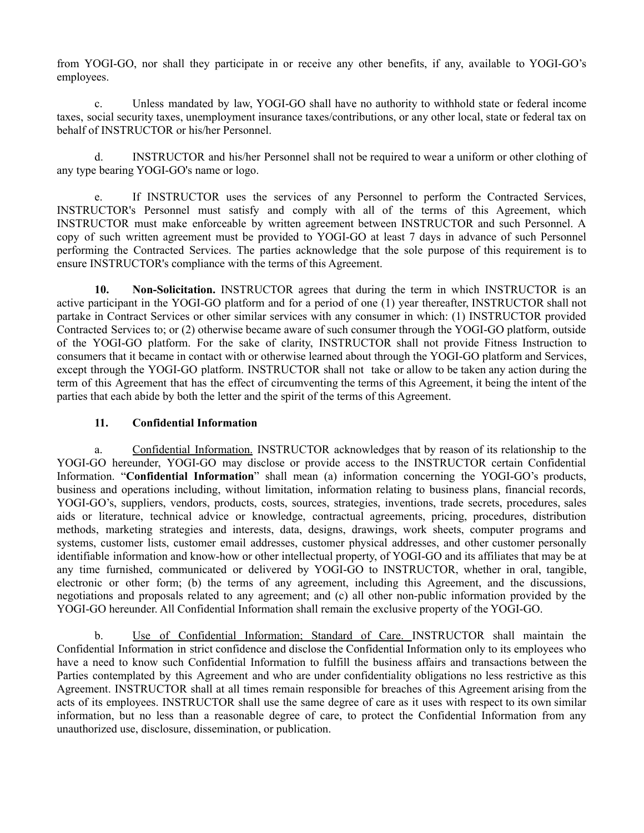from YOGI-GO, nor shall they participate in or receive any other benefits, if any, available to YOGI-GO's employees.

c. Unless mandated by law, YOGI-GO shall have no authority to withhold state or federal income taxes, social security taxes, unemployment insurance taxes/contributions, or any other local, state or federal tax on behalf of INSTRUCTOR or his/her Personnel.

d. INSTRUCTOR and his/her Personnel shall not be required to wear a uniform or other clothing of any type bearing YOGI-GO's name or logo.

If INSTRUCTOR uses the services of any Personnel to perform the Contracted Services, INSTRUCTOR's Personnel must satisfy and comply with all of the terms of this Agreement, which INSTRUCTOR must make enforceable by written agreement between INSTRUCTOR and such Personnel. A copy of such written agreement must be provided to YOGI-GO at least 7 days in advance of such Personnel performing the Contracted Services. The parties acknowledge that the sole purpose of this requirement is to ensure INSTRUCTOR's compliance with the terms of this Agreement.

**10. Non-Solicitation.** INSTRUCTOR agrees that during the term in which INSTRUCTOR is an active participant in the YOGI-GO platform and for a period of one (1) year thereafter, INSTRUCTOR shall not partake in Contract Services or other similar services with any consumer in which: (1) INSTRUCTOR provided Contracted Services to; or (2) otherwise became aware of such consumer through the YOGI-GO platform, outside of the YOGI-GO platform. For the sake of clarity, INSTRUCTOR shall not provide Fitness Instruction to consumers that it became in contact with or otherwise learned about through the YOGI-GO platform and Services, except through the YOGI-GO platform. INSTRUCTOR shall not take or allow to be taken any action during the term of this Agreement that has the effect of circumventing the terms of this Agreement, it being the intent of the parties that each abide by both the letter and the spirit of the terms of this Agreement.

### **11. Confidential Information**

a. Confidential Information. INSTRUCTOR acknowledges that by reason of its relationship to the YOGI-GO hereunder, YOGI-GO may disclose or provide access to the INSTRUCTOR certain Confidential Information. "**Confidential Information**" shall mean (a) information concerning the YOGI-GO's products, business and operations including, without limitation, information relating to business plans, financial records, YOGI-GO's, suppliers, vendors, products, costs, sources, strategies, inventions, trade secrets, procedures, sales aids or literature, technical advice or knowledge, contractual agreements, pricing, procedures, distribution methods, marketing strategies and interests, data, designs, drawings, work sheets, computer programs and systems, customer lists, customer email addresses, customer physical addresses, and other customer personally identifiable information and know-how or other intellectual property, of YOGI-GO and its affiliates that may be at any time furnished, communicated or delivered by YOGI-GO to INSTRUCTOR, whether in oral, tangible, electronic or other form; (b) the terms of any agreement, including this Agreement, and the discussions, negotiations and proposals related to any agreement; and (c) all other non-public information provided by the YOGI-GO hereunder. All Confidential Information shall remain the exclusive property of the YOGI-GO.

b. Use of Confidential Information; Standard of Care. INSTRUCTOR shall maintain the Confidential Information in strict confidence and disclose the Confidential Information only to its employees who have a need to know such Confidential Information to fulfill the business affairs and transactions between the Parties contemplated by this Agreement and who are under confidentiality obligations no less restrictive as this Agreement. INSTRUCTOR shall at all times remain responsible for breaches of this Agreement arising from the acts of its employees. INSTRUCTOR shall use the same degree of care as it uses with respect to its own similar information, but no less than a reasonable degree of care, to protect the Confidential Information from any unauthorized use, disclosure, dissemination, or publication.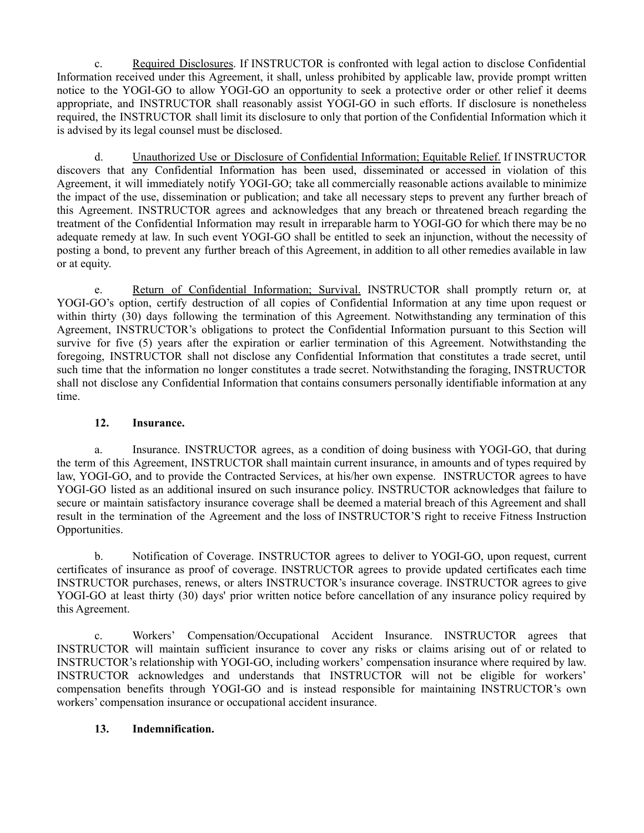c. Required Disclosures. If INSTRUCTOR is confronted with legal action to disclose Confidential Information received under this Agreement, it shall, unless prohibited by applicable law, provide prompt written notice to the YOGI-GO to allow YOGI-GO an opportunity to seek a protective order or other relief it deems appropriate, and INSTRUCTOR shall reasonably assist YOGI-GO in such efforts. If disclosure is nonetheless required, the INSTRUCTOR shall limit its disclosure to only that portion of the Confidential Information which it is advised by its legal counsel must be disclosed.

d. Unauthorized Use or Disclosure of Confidential Information; Equitable Relief. If INSTRUCTOR discovers that any Confidential Information has been used, disseminated or accessed in violation of this Agreement, it will immediately notify YOGI-GO; take all commercially reasonable actions available to minimize the impact of the use, dissemination or publication; and take all necessary steps to prevent any further breach of this Agreement. INSTRUCTOR agrees and acknowledges that any breach or threatened breach regarding the treatment of the Confidential Information may result in irreparable harm to YOGI-GO for which there may be no adequate remedy at law. In such event YOGI-GO shall be entitled to seek an injunction, without the necessity of posting a bond, to prevent any further breach of this Agreement, in addition to all other remedies available in law or at equity.

e. Return of Confidential Information; Survival. INSTRUCTOR shall promptly return or, at YOGI-GO's option, certify destruction of all copies of Confidential Information at any time upon request or within thirty (30) days following the termination of this Agreement. Notwithstanding any termination of this Agreement, INSTRUCTOR's obligations to protect the Confidential Information pursuant to this Section will survive for five (5) years after the expiration or earlier termination of this Agreement. Notwithstanding the foregoing, INSTRUCTOR shall not disclose any Confidential Information that constitutes a trade secret, until such time that the information no longer constitutes a trade secret. Notwithstanding the foraging, INSTRUCTOR shall not disclose any Confidential Information that contains consumers personally identifiable information at any time.

## **12. Insurance.**

a. Insurance. INSTRUCTOR agrees, as a condition of doing business with YOGI-GO, that during the term of this Agreement, INSTRUCTOR shall maintain current insurance, in amounts and of types required by law, YOGI-GO, and to provide the Contracted Services, at his/her own expense. INSTRUCTOR agrees to have YOGI-GO listed as an additional insured on such insurance policy. INSTRUCTOR acknowledges that failure to secure or maintain satisfactory insurance coverage shall be deemed a material breach of this Agreement and shall result in the termination of the Agreement and the loss of INSTRUCTOR'S right to receive Fitness Instruction Opportunities.

b. Notification of Coverage. INSTRUCTOR agrees to deliver to YOGI-GO, upon request, current certificates of insurance as proof of coverage. INSTRUCTOR agrees to provide updated certificates each time INSTRUCTOR purchases, renews, or alters INSTRUCTOR's insurance coverage. INSTRUCTOR agrees to give YOGI-GO at least thirty (30) days' prior written notice before cancellation of any insurance policy required by this Agreement.

c. Workers' Compensation/Occupational Accident Insurance. INSTRUCTOR agrees that INSTRUCTOR will maintain sufficient insurance to cover any risks or claims arising out of or related to INSTRUCTOR's relationship with YOGI-GO, including workers' compensation insurance where required by law. INSTRUCTOR acknowledges and understands that INSTRUCTOR will not be eligible for workers' compensation benefits through YOGI-GO and is instead responsible for maintaining INSTRUCTOR's own workers' compensation insurance or occupational accident insurance.

## **13. Indemnification.**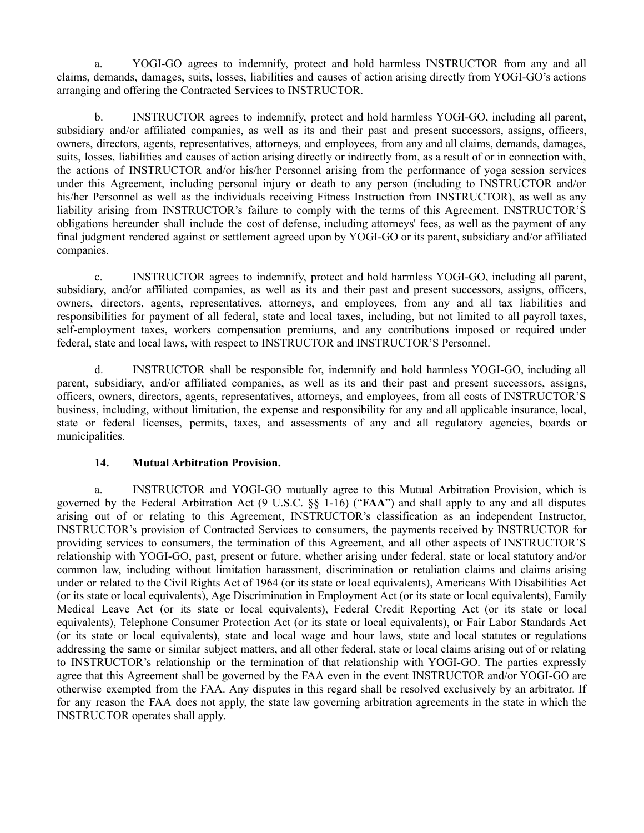a. YOGI-GO agrees to indemnify, protect and hold harmless INSTRUCTOR from any and all claims, demands, damages, suits, losses, liabilities and causes of action arising directly from YOGI-GO's actions arranging and offering the Contracted Services to INSTRUCTOR.

b. INSTRUCTOR agrees to indemnify, protect and hold harmless YOGI-GO, including all parent, subsidiary and/or affiliated companies, as well as its and their past and present successors, assigns, officers, owners, directors, agents, representatives, attorneys, and employees, from any and all claims, demands, damages, suits, losses, liabilities and causes of action arising directly or indirectly from, as a result of or in connection with, the actions of INSTRUCTOR and/or his/her Personnel arising from the performance of yoga session services under this Agreement, including personal injury or death to any person (including to INSTRUCTOR and/or his/her Personnel as well as the individuals receiving Fitness Instruction from INSTRUCTOR), as well as any liability arising from INSTRUCTOR's failure to comply with the terms of this Agreement. INSTRUCTOR'S obligations hereunder shall include the cost of defense, including attorneys' fees, as well as the payment of any final judgment rendered against or settlement agreed upon by YOGI-GO or its parent, subsidiary and/or affiliated companies.

c. INSTRUCTOR agrees to indemnify, protect and hold harmless YOGI-GO, including all parent, subsidiary, and/or affiliated companies, as well as its and their past and present successors, assigns, officers, owners, directors, agents, representatives, attorneys, and employees, from any and all tax liabilities and responsibilities for payment of all federal, state and local taxes, including, but not limited to all payroll taxes, self-employment taxes, workers compensation premiums, and any contributions imposed or required under federal, state and local laws, with respect to INSTRUCTOR and INSTRUCTOR'S Personnel.

d. INSTRUCTOR shall be responsible for, indemnify and hold harmless YOGI-GO, including all parent, subsidiary, and/or affiliated companies, as well as its and their past and present successors, assigns, officers, owners, directors, agents, representatives, attorneys, and employees, from all costs of INSTRUCTOR'S business, including, without limitation, the expense and responsibility for any and all applicable insurance, local, state or federal licenses, permits, taxes, and assessments of any and all regulatory agencies, boards or municipalities.

### **14. Mutual Arbitration Provision.**

a. INSTRUCTOR and YOGI-GO mutually agree to this Mutual Arbitration Provision, which is governed by the Federal Arbitration Act (9 U.S.C. §§ 1-16) ("**FAA**") and shall apply to any and all disputes arising out of or relating to this Agreement, INSTRUCTOR's classification as an independent Instructor, INSTRUCTOR's provision of Contracted Services to consumers, the payments received by INSTRUCTOR for providing services to consumers, the termination of this Agreement, and all other aspects of INSTRUCTOR'S relationship with YOGI-GO, past, present or future, whether arising under federal, state or local statutory and/or common law, including without limitation harassment, discrimination or retaliation claims and claims arising under or related to the Civil Rights Act of 1964 (or its state or local equivalents), Americans With Disabilities Act (or its state or local equivalents), Age Discrimination in Employment Act (or its state or local equivalents), Family Medical Leave Act (or its state or local equivalents), Federal Credit Reporting Act (or its state or local equivalents), Telephone Consumer Protection Act (or its state or local equivalents), or Fair Labor Standards Act (or its state or local equivalents), state and local wage and hour laws, state and local statutes or regulations addressing the same or similar subject matters, and all other federal, state or local claims arising out of or relating to INSTRUCTOR's relationship or the termination of that relationship with YOGI-GO. The parties expressly agree that this Agreement shall be governed by the FAA even in the event INSTRUCTOR and/or YOGI-GO are otherwise exempted from the FAA. Any disputes in this regard shall be resolved exclusively by an arbitrator. If for any reason the FAA does not apply, the state law governing arbitration agreements in the state in which the INSTRUCTOR operates shall apply.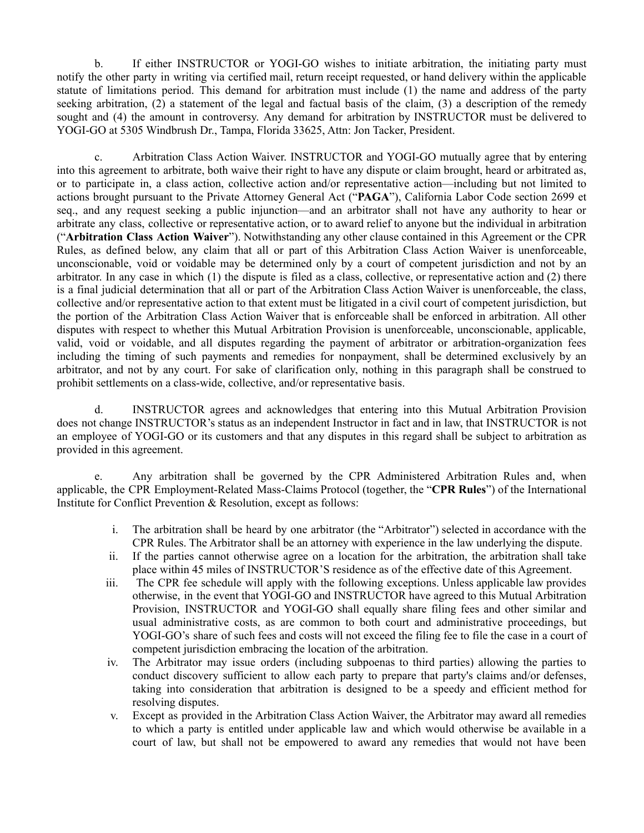b. If either INSTRUCTOR or YOGI-GO wishes to initiate arbitration, the initiating party must notify the other party in writing via certified mail, return receipt requested, or hand delivery within the applicable statute of limitations period. This demand for arbitration must include (1) the name and address of the party seeking arbitration, (2) a statement of the legal and factual basis of the claim, (3) a description of the remedy sought and (4) the amount in controversy. Any demand for arbitration by INSTRUCTOR must be delivered to YOGI-GO at 5305 Windbrush Dr., Tampa, Florida 33625, Attn: Jon Tacker, President.

c. Arbitration Class Action Waiver. INSTRUCTOR and YOGI-GO mutually agree that by entering into this agreement to arbitrate, both waive their right to have any dispute or claim brought, heard or arbitrated as, or to participate in, a class action, collective action and/or representative action—including but not limited to actions brought pursuant to the Private Attorney General Act ("**PAGA**"), California Labor Code section 2699 et seq., and any request seeking a public injunction—and an arbitrator shall not have any authority to hear or arbitrate any class, collective or representative action, or to award relief to anyone but the individual in arbitration ("**Arbitration Class Action Waiver**"). Notwithstanding any other clause contained in this Agreement or the CPR Rules, as defined below, any claim that all or part of this Arbitration Class Action Waiver is unenforceable, unconscionable, void or voidable may be determined only by a court of competent jurisdiction and not by an arbitrator. In any case in which (1) the dispute is filed as a class, collective, or representative action and (2) there is a final judicial determination that all or part of the Arbitration Class Action Waiver is unenforceable, the class, collective and/or representative action to that extent must be litigated in a civil court of competent jurisdiction, but the portion of the Arbitration Class Action Waiver that is enforceable shall be enforced in arbitration. All other disputes with respect to whether this Mutual Arbitration Provision is unenforceable, unconscionable, applicable, valid, void or voidable, and all disputes regarding the payment of arbitrator or arbitration-organization fees including the timing of such payments and remedies for nonpayment, shall be determined exclusively by an arbitrator, and not by any court. For sake of clarification only, nothing in this paragraph shall be construed to prohibit settlements on a class-wide, collective, and/or representative basis.

d. INSTRUCTOR agrees and acknowledges that entering into this Mutual Arbitration Provision does not change INSTRUCTOR's status as an independent Instructor in fact and in law, that INSTRUCTOR is not an employee of YOGI-GO or its customers and that any disputes in this regard shall be subject to arbitration as provided in this agreement.

e. Any arbitration shall be governed by the CPR Administered Arbitration Rules and, when applicable, the CPR Employment-Related Mass-Claims Protocol (together, the "**CPR Rules**") of the International Institute for Conflict Prevention & Resolution, except as follows:

- i. The arbitration shall be heard by one arbitrator (the "Arbitrator") selected in accordance with the CPR Rules. The Arbitrator shall be an attorney with experience in the law underlying the dispute.
- ii. If the parties cannot otherwise agree on a location for the arbitration, the arbitration shall take place within 45 miles of INSTRUCTOR'S residence as of the effective date of this Agreement.
- iii. The CPR fee schedule will apply with the following exceptions. Unless applicable law provides otherwise, in the event that YOGI-GO and INSTRUCTOR have agreed to this Mutual Arbitration Provision, INSTRUCTOR and YOGI-GO shall equally share filing fees and other similar and usual administrative costs, as are common to both court and administrative proceedings, but YOGI-GO's share of such fees and costs will not exceed the filing fee to file the case in a court of competent jurisdiction embracing the location of the arbitration.
- iv. The Arbitrator may issue orders (including subpoenas to third parties) allowing the parties to conduct discovery sufficient to allow each party to prepare that party's claims and/or defenses, taking into consideration that arbitration is designed to be a speedy and efficient method for resolving disputes.
- v. Except as provided in the Arbitration Class Action Waiver, the Arbitrator may award all remedies to which a party is entitled under applicable law and which would otherwise be available in a court of law, but shall not be empowered to award any remedies that would not have been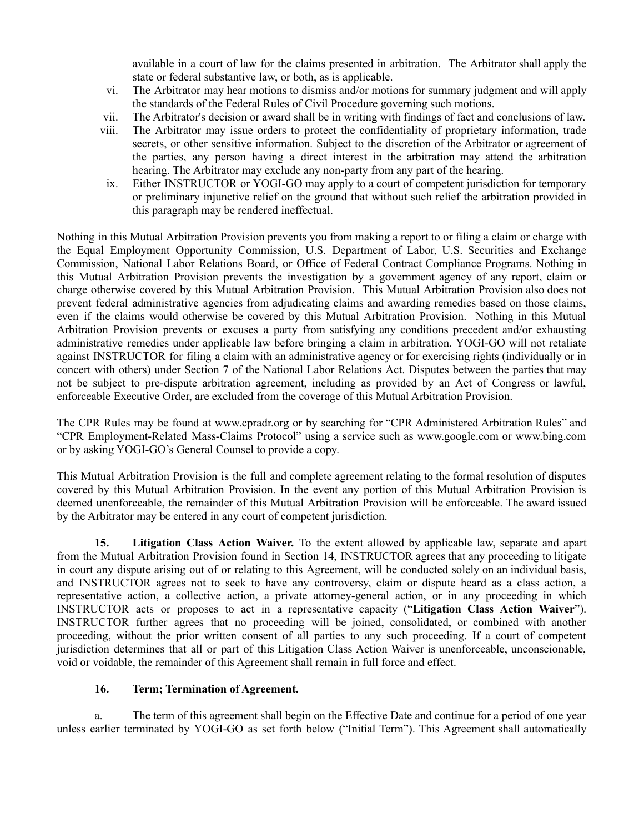available in a court of law for the claims presented in arbitration. The Arbitrator shall apply the state or federal substantive law, or both, as is applicable.

- vi. The Arbitrator may hear motions to dismiss and/or motions for summary judgment and will apply the standards of the Federal Rules of Civil Procedure governing such motions.
- vii. The Arbitrator's decision or award shall be in writing with findings of fact and conclusions of law.
- viii. The Arbitrator may issue orders to protect the confidentiality of proprietary information, trade secrets, or other sensitive information. Subject to the discretion of the Arbitrator or agreement of the parties, any person having a direct interest in the arbitration may attend the arbitration hearing. The Arbitrator may exclude any non-party from any part of the hearing.
- ix. Either INSTRUCTOR or YOGI-GO may apply to a court of competent jurisdiction for temporary or preliminary injunctive relief on the ground that without such relief the arbitration provided in this paragraph may be rendered ineffectual.

Nothing in this Mutual Arbitration Provision prevents you from making a report to or filing a claim or charge with the Equal Employment Opportunity Commission, U.S. Department of Labor, U.S. Securities and Exchange Commission, National Labor Relations Board, or Office of Federal Contract Compliance Programs. Nothing in this Mutual Arbitration Provision prevents the investigation by a government agency of any report, claim or charge otherwise covered by this Mutual Arbitration Provision. This Mutual Arbitration Provision also does not prevent federal administrative agencies from adjudicating claims and awarding remedies based on those claims, even if the claims would otherwise be covered by this Mutual Arbitration Provision. Nothing in this Mutual Arbitration Provision prevents or excuses a party from satisfying any conditions precedent and/or exhausting administrative remedies under applicable law before bringing a claim in arbitration. YOGI-GO will not retaliate against INSTRUCTOR for filing a claim with an administrative agency or for exercising rights (individually or in concert with others) under Section 7 of the National Labor Relations Act. Disputes between the parties that may not be subject to pre-dispute arbitration agreement, including as provided by an Act of Congress or lawful, enforceable Executive Order, are excluded from the coverage of this Mutual Arbitration Provision.

The CPR Rules may be found at www.cpradr.org or by searching for "CPR Administered Arbitration Rules" and "CPR Employment-Related Mass-Claims Protocol" using a service such as www.google.com or www.bing.com or by asking YOGI-GO's General Counsel to provide a copy.

This Mutual Arbitration Provision is the full and complete agreement relating to the formal resolution of disputes covered by this Mutual Arbitration Provision. In the event any portion of this Mutual Arbitration Provision is deemed unenforceable, the remainder of this Mutual Arbitration Provision will be enforceable. The award issued by the Arbitrator may be entered in any court of competent jurisdiction.

**15. Litigation Class Action Waiver.** To the extent allowed by applicable law, separate and apart from the Mutual Arbitration Provision found in Section 14, INSTRUCTOR agrees that any proceeding to litigate in court any dispute arising out of or relating to this Agreement, will be conducted solely on an individual basis, and INSTRUCTOR agrees not to seek to have any controversy, claim or dispute heard as a class action, a representative action, a collective action, a private attorney-general action, or in any proceeding in which INSTRUCTOR acts or proposes to act in a representative capacity ("**Litigation Class Action Waiver**"). INSTRUCTOR further agrees that no proceeding will be joined, consolidated, or combined with another proceeding, without the prior written consent of all parties to any such proceeding. If a court of competent jurisdiction determines that all or part of this Litigation Class Action Waiver is unenforceable, unconscionable, void or voidable, the remainder of this Agreement shall remain in full force and effect.

### **16. Term; Termination of Agreement.**

a. The term of this agreement shall begin on the Effective Date and continue for a period of one year unless earlier terminated by YOGI-GO as set forth below ("Initial Term"). This Agreement shall automatically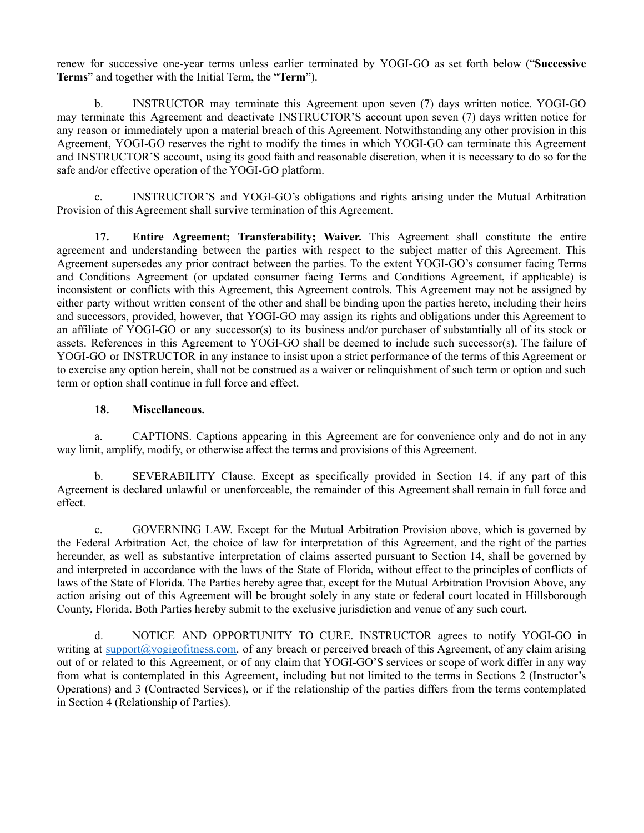renew for successive one-year terms unless earlier terminated by YOGI-GO as set forth below ("**Successive Terms**" and together with the Initial Term, the "**Term**").

b. INSTRUCTOR may terminate this Agreement upon seven (7) days written notice. YOGI-GO may terminate this Agreement and deactivate INSTRUCTOR'S account upon seven (7) days written notice for any reason or immediately upon a material breach of this Agreement. Notwithstanding any other provision in this Agreement, YOGI-GO reserves the right to modify the times in which YOGI-GO can terminate this Agreement and INSTRUCTOR'S account, using its good faith and reasonable discretion, when it is necessary to do so for the safe and/or effective operation of the YOGI-GO platform.

c. INSTRUCTOR'S and YOGI-GO's obligations and rights arising under the Mutual Arbitration Provision of this Agreement shall survive termination of this Agreement.

**17. Entire Agreement; Transferability; Waiver.** This Agreement shall constitute the entire agreement and understanding between the parties with respect to the subject matter of this Agreement. This Agreement supersedes any prior contract between the parties. To the extent YOGI-GO's consumer facing Terms and Conditions Agreement (or updated consumer facing Terms and Conditions Agreement, if applicable) is inconsistent or conflicts with this Agreement, this Agreement controls. This Agreement may not be assigned by either party without written consent of the other and shall be binding upon the parties hereto, including their heirs and successors, provided, however, that YOGI-GO may assign its rights and obligations under this Agreement to an affiliate of YOGI-GO or any successor(s) to its business and/or purchaser of substantially all of its stock or assets. References in this Agreement to YOGI-GO shall be deemed to include such successor(s). The failure of YOGI-GO or INSTRUCTOR in any instance to insist upon a strict performance of the terms of this Agreement or to exercise any option herein, shall not be construed as a waiver or relinquishment of such term or option and such term or option shall continue in full force and effect.

### **18. Miscellaneous.**

a. CAPTIONS. Captions appearing in this Agreement are for convenience only and do not in any way limit, amplify, modify, or otherwise affect the terms and provisions of this Agreement.

b. SEVERABILITY Clause. Except as specifically provided in Section 14, if any part of this Agreement is declared unlawful or unenforceable, the remainder of this Agreement shall remain in full force and effect.

c. GOVERNING LAW. Except for the Mutual Arbitration Provision above, which is governed by the Federal Arbitration Act, the choice of law for interpretation of this Agreement, and the right of the parties hereunder, as well as substantive interpretation of claims asserted pursuant to Section 14, shall be governed by and interpreted in accordance with the laws of the State of Florida, without effect to the principles of conflicts of laws of the State of Florida. The Parties hereby agree that, except for the Mutual Arbitration Provision Above, any action arising out of this Agreement will be brought solely in any state or federal court located in Hillsborough County, Florida. Both Parties hereby submit to the exclusive jurisdiction and venue of any such court.

d. NOTICE AND OPPORTUNITY TO CURE. INSTRUCTOR agrees to notify YOGI-GO in writing at [support@yogigofitness.com.](mailto:support@yogigofitness.com) of any breach or perceived breach of this Agreement, of any claim arising out of or related to this Agreement, or of any claim that YOGI-GO'S services or scope of work differ in any way from what is contemplated in this Agreement, including but not limited to the terms in Sections 2 (Instructor's Operations) and 3 (Contracted Services), or if the relationship of the parties differs from the terms contemplated in Section 4 (Relationship of Parties).